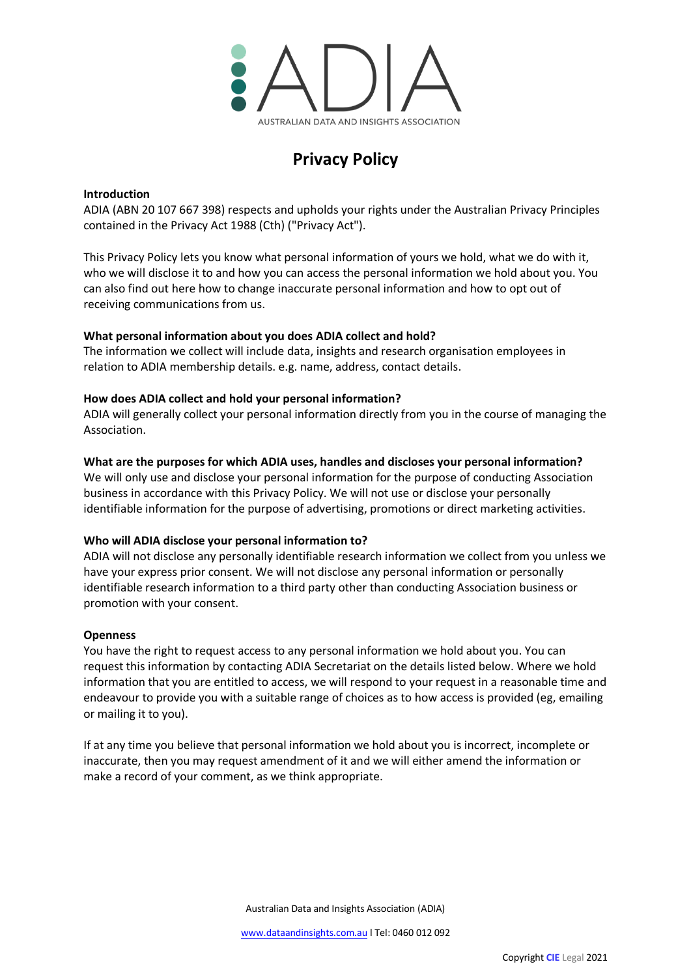

# **Privacy Policy**

# **Introduction**

ADIA (ABN 20 107 667 398) respects and upholds your rights under the Australian Privacy Principles contained in the Privacy Act 1988 (Cth) ("Privacy Act").

This Privacy Policy lets you know what personal information of yours we hold, what we do with it, who we will disclose it to and how you can access the personal information we hold about you. You can also find out here how to change inaccurate personal information and how to opt out of receiving communications from us.

## **What personal information about you does ADIA collect and hold?**

The information we collect will include data, insights and research organisation employees in relation to ADIA membership details. e.g. name, address, contact details.

## **How does ADIA collect and hold your personal information?**

ADIA will generally collect your personal information directly from you in the course of managing the Association.

# **What are the purposes for which ADIA uses, handles and discloses your personal information?**

We will only use and disclose your personal information for the purpose of conducting Association business in accordance with this Privacy Policy. We will not use or disclose your personally identifiable information for the purpose of advertising, promotions or direct marketing activities.

# **Who will ADIA disclose your personal information to?**

ADIA will not disclose any personally identifiable research information we collect from you unless we have your express prior consent. We will not disclose any personal information or personally identifiable research information to a third party other than conducting Association business or promotion with your consent.

#### **Openness**

You have the right to request access to any personal information we hold about you. You can request this information by contacting ADIA Secretariat on the details listed below. Where we hold information that you are entitled to access, we will respond to your request in a reasonable time and endeavour to provide you with a suitable range of choices as to how access is provided (eg, emailing or mailing it to you).

If at any time you believe that personal information we hold about you is incorrect, incomplete or inaccurate, then you may request amendment of it and we will either amend the information or make a record of your comment, as we think appropriate.

Australian Data and Insights Association (ADIA)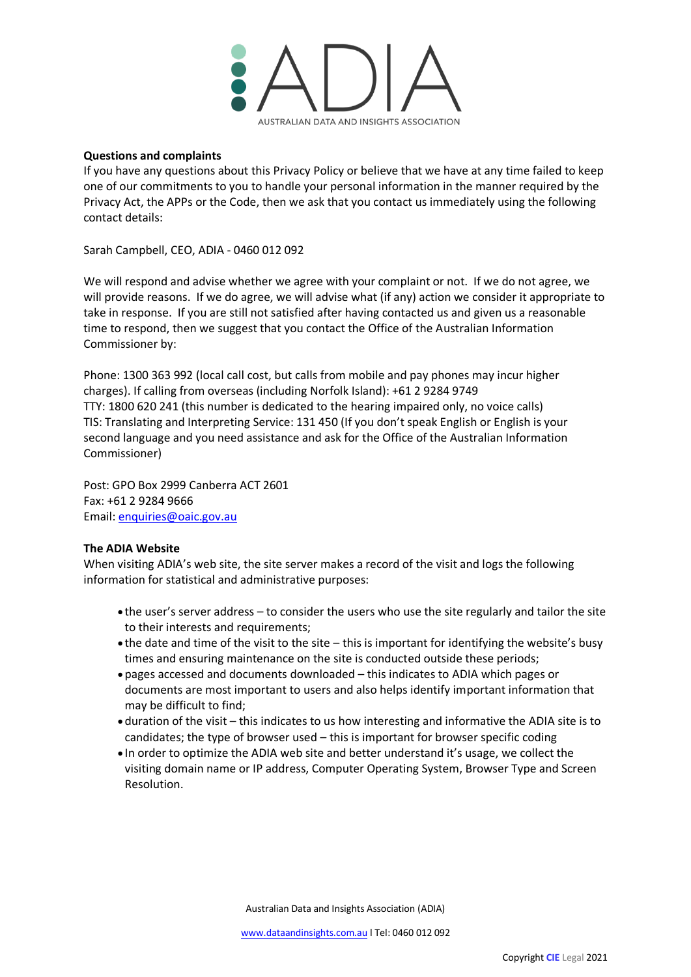

## **Questions and complaints**

If you have any questions about this Privacy Policy or believe that we have at any time failed to keep one of our commitments to you to handle your personal information in the manner required by the Privacy Act, the APPs or the Code, then we ask that you contact us immediately using the following contact details:

Sarah Campbell, CEO, ADIA - 0460 012 092

We will respond and advise whether we agree with your complaint or not. If we do not agree, we will provide reasons. If we do agree, we will advise what (if any) action we consider it appropriate to take in response. If you are still not satisfied after having contacted us and given us a reasonable time to respond, then we suggest that you contact the Office of the Australian Information Commissioner by:

Phone: 1300 363 992 (local call cost, but calls from mobile and pay phones may incur higher charges). If calling from overseas (including Norfolk Island): +61 2 9284 9749 TTY: 1800 620 241 (this number is dedicated to the hearing impaired only, no voice calls) TIS: Translating and Interpreting Service: 131 450 (If you don't speak English or English is your second language and you need assistance and ask for the Office of the Australian Information Commissioner)

Post: GPO Box 2999 Canberra ACT 2601 Fax: +61 2 9284 9666 Email: [enquiries@oaic.gov.au](mailto:enquiries@oaic.gov.au)

# **The ADIA Website**

When visiting ADIA's web site, the site server makes a record of the visit and logs the following information for statistical and administrative purposes:

- the user's server address to consider the users who use the site regularly and tailor the site to their interests and requirements;
- the date and time of the visit to the site this is important for identifying the website's busy times and ensuring maintenance on the site is conducted outside these periods;
- pages accessed and documents downloaded this indicates to ADIA which pages or documents are most important to users and also helps identify important information that may be difficult to find;
- duration of the visit this indicates to us how interesting and informative the ADIA site is to candidates; the type of browser used – this is important for browser specific coding
- In order to optimize the ADIA web site and better understand it's usage, we collect the visiting domain name or IP address, Computer Operating System, Browser Type and Screen Resolution.

Australian Data and Insights Association (ADIA)